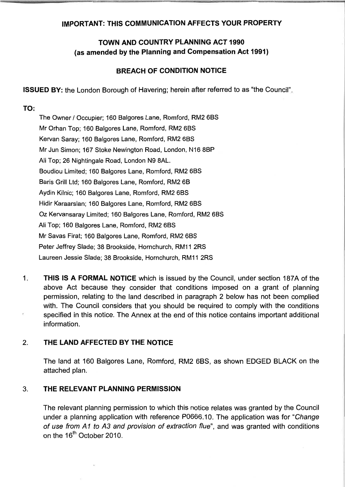## **IMPORTANT: THlS COMMUNICATION AFFECTS YOUR PROPERTY**

# **TOWN AND COUNTRY PLANNING ACT 1990 (as amended by the Planning and Compensation Act 1991)**

## **BREACH OF CONDITION NOTICE**

**ISSUED BY:** the London Borough of Havering; herein after referred to as "the Council".

### **TO:**

The Owner / Occupier; 160 Balgores Lane, Romford, RM2 6BS Mr Orhan Top; 160 Balgores Lane, Romford, RM2 6BS Kervan Saray; 160 Balgores Lane, Romford, RM2 6BS Mr Jun Simon; 167 Stoke Newington Road, London, NI6 8BP Ali Top; 26 Nightingale Road, London N9 8AL. Boudiou Limited; 160 Balgores Lane, Romford, RM2 6BS Baris Grill Ltd; 160 Balgores Lane, Romford, RM2 6B Aydin Kilnic; 160 Balgores Lane, Romford, RM2 6BS Hidir Karaarslan; 160 Balgores Lane, Romford, RM2 6BS Oz Kervansaray Limited; 160 Balgores Lane, Romford, RM2 6BS Ali Top; 160 Balgores Lane, Romford, RM2 6BS Mr Savas Firat; 160 Balgores Lane, Romford, RM2 6BS Peter Jeffrey Slade; 38 Brookside, Hornchurch, RM11 2RS Laureen Jessie Slade; 38 Brookside, Hornchurch, RM11 2RS

1. **THlS IS A FORMAL NOTICE** which is issued by the Council, under section 187A of the above Act because they consider that conditions imposed on a grant of planning permission, relating to the land described in paragraph 2 below has not been complied with. The Council considers that you should be required to comply with the conditions specified in this notice. The Annex at the end of this notice contains important additional information.

### 2. **THE LAND AFFECTED BY THE NOTICE**

The land at 160 Balgores Lane, Romford, RM2 6BS, as shown EDGED BLACK on the attached plan.

### **3. THE RELEVANT PLANNING PERMISSION**

The relevant planning permission to which this notice relates was granted by the Council under a planning application with reference P0666.10. The application was for "Change of use from *AI* to A3 and provision of extraction flue", and was granted with conditions on the 16<sup>th</sup> October 2010.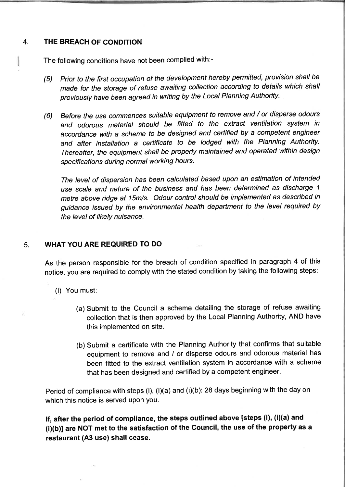#### $\overline{4}$ . **THE BREACH OF CONDITION**

The following conditions have not been complied with:-

- (5) Prior to the first occupation of the development hereby permitted, provision shall be made for the storage of refuse awaiting collection according to details which shall previously have been agreed in writing by the Local Planning Authority.
- **(6)** Before the use commences suitable equipment to remove and / or disperse odours and odorous material should be fitted to the extract ventilation system in accordance with a scheme to be designed and certified by a competent engineer and after installation a certificate to be lodged with the Planning Authority. Thereafter, the equipment shall be properly maintained and operated within design specifications during normal working hours.

The level of dispersion has been calculated based upon an estimation of intended use scale and nature of the business and has been determined as discharge 1 metre above ridge at 15m/s. Odour control should be implemented as described in guidance issued by the environmental health department to the level required by the level of likely nuisance.

#### **WHAT YOU ARE REQUIRED TO DO**  5.

As the person responsible for the breach of condition specified in paragraph **4** of this notice, you are required to comply with the stated condition by taking the following steps:

- (i) You must:
	- (a) Submit to the Council a scheme detailing the storage of refuse awaiting collection that is then approved by the Local Planning Authority, AND have this implemented on site.
	- (b) Submit a certificate with the Planning Authority that confirms that suitable equipment to remove and / or disperse odours and odorous material has been fitted to the extract ventilation system in accordance with a scheme that has been designed and certified by a competent engineer.

Period of compliance with steps (i), (i)(a) and (i)(b): 28 days beginning with the day on which this notice is served upon you.

**If, after the period of compliance, the steps outlined above [steps (i), (i)(a) and (i)(b)] are NOT met to the satisfaction of the Council, the use of the property as a restaurant (A3 use) shall cease.**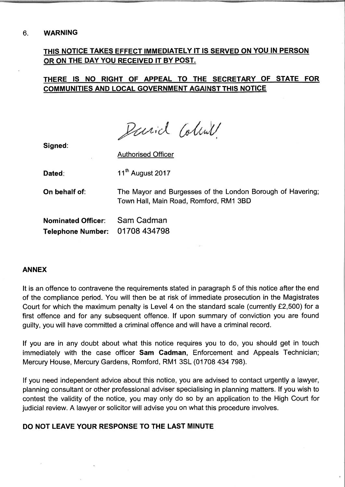# **THlS NOTICE TAKES EFFECT IMMEDIATELY IT IS SERVED ON YOU IN PERSON OR ON THE DAY YOU RECEIVED IT BY POST.**

# **THERE IS NO RIGHT OF APPEAL TO THE SECRETARY OF STATE FOR COMMUNITIES AND LOCAL GOVERNMENT AGAINST THlS NOTICE**

Parid Colina

**Signed:** 

Authorised Officer

Dated: 11<sup>th</sup> August 2017

**On behalf of:** The Mayor and Burgesses of the London Borough of Havering; Town Hall, Main Road, Romford, RMI 3BD

**Nominated Officer:** Sam Cadman Telephone Number: 01708 434798

### **ANNEX**

It is an offence to contravene the requirements stated in paragraph 5 of this notice after the end of the compliance period. You will then be at risk of immediate prosecution in the Magistrates Court for which the maximum penalty is Level 4 on the standard scale (currently £2,500) for a first offence and for any subsequent offence. If upon summary of conviction you are found guilty, you will have committed a criminal offence and will have a criminal record.

If you are in any doubt about what this notice requires you to do, you should get in touch immediately with the case officer **Sam Cadman,** Enforcement and Appeals Technician; Mercury House, Mercury Gardens, Romford, RMI 3SL (01 708 434 798).

If you need independent advice about this notice, you are advised to contact urgently a lawyer, planning consultant or other professional adviser specialising in planning matters. If you wish to contest the validity of the notice, you may only do so by an application to the High Court for judicial review. A lawyer or solicitor will advise you on what this procedure involves.

### **DO NOT LEAVE YOUR RESPONSE TO THE LAST MINUTE**